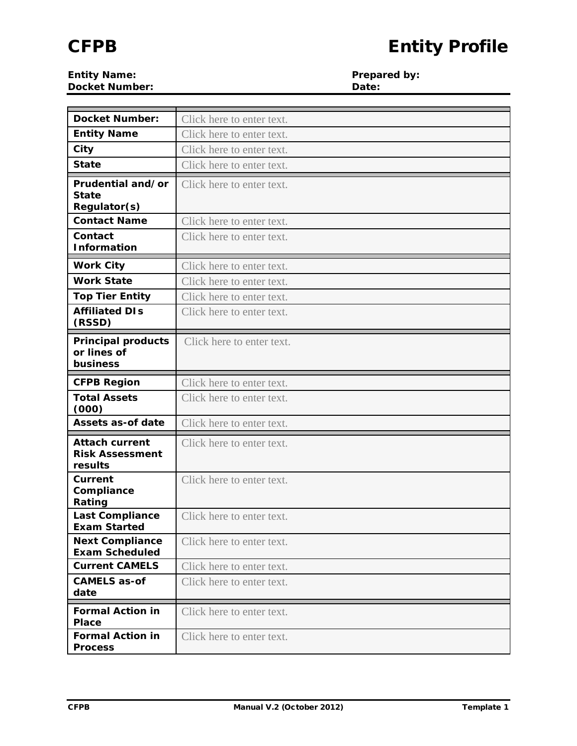**Entity Name: Prepared by: Prepared by: Prepared by: Prepared by: Prepared by: Prepared by: Prepared by: Prepared by: Prepared by: Prepared by: Prepared by: Prepared by: Prepared by: Prepared by Docket Number:** 

| <b>Docket Number:</b>                                      | Click here to enter text. |
|------------------------------------------------------------|---------------------------|
| <b>Entity Name</b>                                         | Click here to enter text. |
| City                                                       | Click here to enter text. |
| <b>State</b>                                               | Click here to enter text. |
| Prudential and/or                                          | Click here to enter text. |
| <b>State</b>                                               |                           |
| Regulator(s)                                               |                           |
| <b>Contact Name</b>                                        | Click here to enter text. |
| Contact<br><b>Information</b>                              | Click here to enter text. |
| <b>Work City</b>                                           | Click here to enter text. |
| <b>Work State</b>                                          | Click here to enter text. |
| <b>Top Tier Entity</b>                                     | Click here to enter text. |
| <b>Affiliated DIs</b><br>(RSSD)                            | Click here to enter text. |
| <b>Principal products</b>                                  | Click here to enter text. |
| or lines of                                                |                           |
| business                                                   |                           |
| <b>CFPB Region</b>                                         | Click here to enter text. |
| <b>Total Assets</b><br>(000)                               | Click here to enter text. |
| <b>Assets as-of date</b>                                   | Click here to enter text. |
| <b>Attach current</b><br><b>Risk Assessment</b><br>results | Click here to enter text. |
| Current<br>Compliance<br>Rating                            | Click here to enter text. |
| <b>Last Compliance</b><br><b>Exam Started</b>              | Click here to enter text. |
| <b>Next Compliance</b><br><b>Exam Scheduled</b>            | Click here to enter text. |
| <b>Current CAMELS</b>                                      | Click here to enter text. |
| <b>CAMELS as-of</b><br>date                                | Click here to enter text. |
| <b>Formal Action in</b><br>Place                           | Click here to enter text. |
| <b>Formal Action in</b><br><b>Process</b>                  | Click here to enter text. |